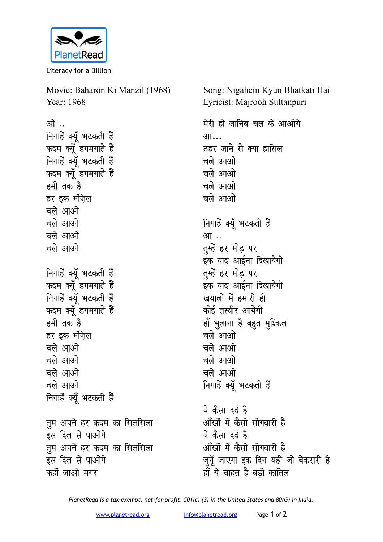

Literacy for a Billion

Movie: Baharon Ki Manzil (1968) Year: 1968 <u>ओ…</u> **निगाहें क्यूँ भटकती हैं** कदम क्यूँ डगमगाते हैं निगाहें क्यूँ भटकती हैं कदम क्यूँ डगमगाते ह<del>ैं</del> हमी तक<sup>े</sup>है हर इक मंजिल चले आओ चले आओ <u>चले आओ</u> चले आओ **निगाहें क्यूँ भटकती हैं** कदम क्यूँ डगमगाते ह<del>ैं</del> निगाहें क्यूँ भटकती हैं कदम क्यूँ डगमगाते हैं हमी तक है हर इक मंजिल **चले आओ** चले आओ चले आओ **चले** आओ **निगाहें क्यूँ भटकती हैं तुम अपने हर कदम का सिलसिला** इस दिल से पाओगे **तुम अपने हर कदम का सिलसिला** इस दिल से पाओगे कहीं जाओ मगर

Song: Nigahein Kyun Bhatkati Hai Lyricist: Majrooh Sultanpuri

मेरी ही जानिब चल के आओग<mark>े</mark> आ… ठहर जाने से क्या हासिल चले आओ चले आओ चले आओ चले आओ <u>निगाहें</u> क्यूँ भटकती हैं आ… **तुम्हें हर मोड़ पर** इक याद आईना दिखायेगी **तुम्हें हर मोड़ पर** इक याद आईना दिखायेगी **खयालों** में हमारी ही कोई तस्वीर आयेगी हाँ भुलाना है बहुत मुश्किल चले आओ चले आओ चले आओ चले आओ **निगाहें क्यूँ भटकती हैं** 

ये कैसा दर्द है आँखों में कैसी सोगवारी है ये कैसा दर्द है <u>ऑंखों में कैसी सोगवारी है</u> जुनूँ जाएगा इक दिन यही जो बेकरारी ह<del>ै</del> ्<u>ध</u>ः<br>हाँ ये चाहत है बड़ी कातिल

*PlanetRead is a tax-exempt, not-for-profit: 501(c) (3) in the United States and 80(G) in India.*